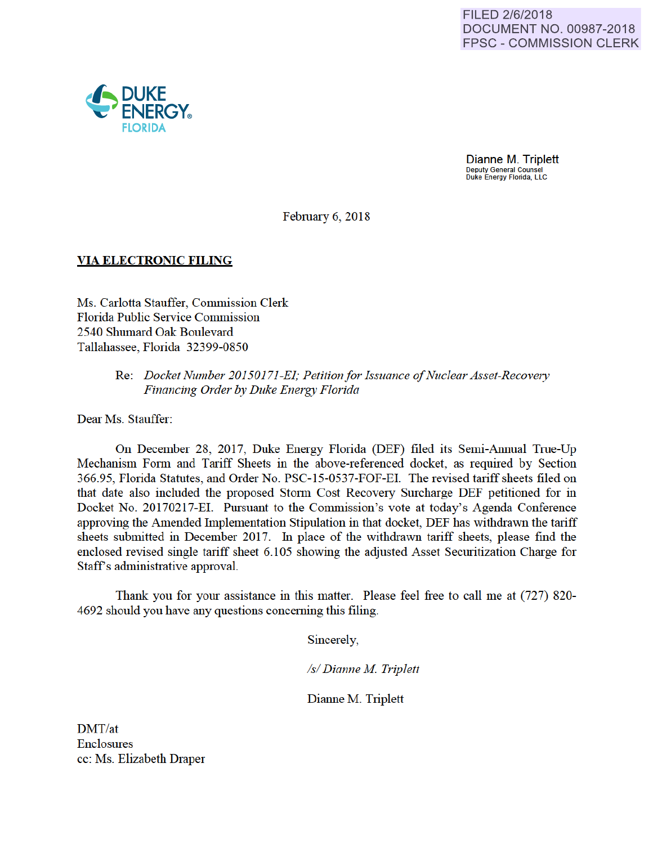

Dianne M. Triplett Deputy General Counsel Duke Energy Florida, LLC

February 6, 2018

## VIA ELECTRONIC FILING

Ms. Carlotta Stauffer, Commission Clerk Florida Public Service Commission 2540 Shumard Oak Boulevard Tallahassee, Florida 32399-0850

# Re: *Docket Number 20150171-EI; Petition for Issuance of Nuclear Asset-Recovery Financing Order by Duke Energy Florida*

Dear Ms. Stauffer:

On December 28, 2017, Duke Energy Florida (DEF) filed its Semi-Annual Tme-Up Mechanism Form and Tariff Sheets in the above-referenced docket, as required by Section 366.95, Florida Statutes, and Order No. PSC-15-0537-FOF-EI. The revised tariff sheets filed on that date also included the proposed Storm Cost Recovery Surcharge DEF petitioned for in Docket No. 20170217-EI. Pursuant to the Commission's vote at today's Agenda Conference approving the Amended Implementation Stipulation in that docket, DEF has withdrawn the tariff sheets submitted in December 2017. In place of the withdrawn tariff sheets, please find the enclosed revised single tariff sheet 6.105 showing the adjusted Asset Secmitization Charge for Staff's administrative approval.

Thank you for yom assistance in this matter. Please feel free to call me at (727) 820- 4692 should you have any questions conceming this filing.

Sincerely,

*Is/ Dianne M Triplett* 

Dianne M. Triplett

DMT/at **Enclosures** cc: Ms. Elizabeth Draper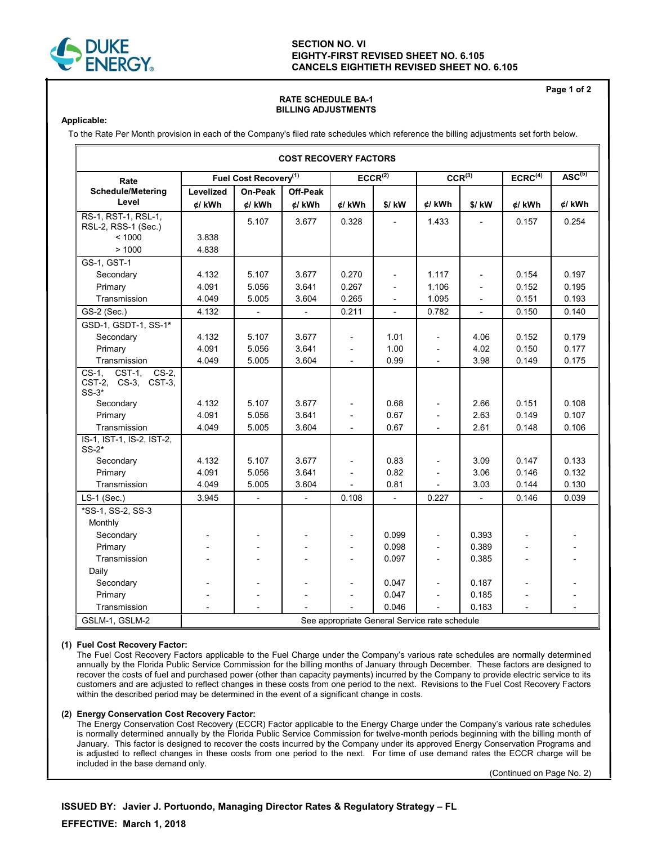

### **SECTION NO. VI EIGHTY-FIRST REVISED SHEET NO. 6.105 CANCELS EIGHTIETH REVISED SHEET NO. 6.105**

#### **RATE SCHEDULE BA-1 BILLING ADJUSTMENTS**

**Applicable:**

To the Rate Per Month provision in each of the Company's filed rate schedules which reference the billing adjustments set forth below.

| <b>COST RECOVERY FACTORS</b>                                    |                                               |                          |                |                          |                          |             |                          |                     |                               |  |
|-----------------------------------------------------------------|-----------------------------------------------|--------------------------|----------------|--------------------------|--------------------------|-------------|--------------------------|---------------------|-------------------------------|--|
| Rate                                                            | Fuel Cost Recovery <sup>(1)</sup>             |                          |                | $ECCR^{\overline{(2)}}$  |                          | $CCR^{(3)}$ |                          | ECRC <sup>(4)</sup> | $\overline{\text{ASC}^{(5)}}$ |  |
| <b>Schedule/Metering</b>                                        | Levelized                                     | On-Peak                  | Off-Peak       |                          |                          |             |                          |                     |                               |  |
| Level                                                           | ¢/ kWh                                        | $d$ / $kWh$              | ¢/ kWh         | ¢/ kWh                   | \$/ kW                   | ¢/ kWh      | $$/$ kW                  | ¢/ kWh              | ¢/ kWh                        |  |
| RS-1, RST-1, RSL-1,<br>RSL-2, RSS-1 (Sec.)                      |                                               | 5.107                    | 3.677          | 0.328                    |                          | 1.433       |                          | 0.157               | 0.254                         |  |
| < 1000                                                          | 3.838                                         |                          |                |                          |                          |             |                          |                     |                               |  |
| >1000                                                           | 4.838                                         |                          |                |                          |                          |             |                          |                     |                               |  |
| GS-1, GST-1                                                     |                                               |                          |                |                          |                          |             |                          |                     |                               |  |
| Secondary                                                       | 4.132                                         | 5.107                    | 3.677          | 0.270                    | $\overline{a}$           | 1.117       |                          | 0.154               | 0.197                         |  |
| Primary                                                         | 4.091                                         | 5.056                    | 3.641          | 0.267                    |                          | 1.106       |                          | 0.152               | 0.195                         |  |
| Transmission                                                    | 4.049                                         | 5.005                    | 3.604          | 0.265                    |                          | 1.095       |                          | 0.151               | 0.193                         |  |
| GS-2 (Sec.)                                                     | 4.132                                         | $\overline{\phantom{a}}$ | $\blacksquare$ | 0.211                    | $\equiv$                 | 0.782       | $\overline{\phantom{0}}$ | 0.150               | 0.140                         |  |
| GSD-1, GSDT-1, SS-1*                                            |                                               |                          |                |                          |                          |             |                          |                     |                               |  |
| Secondary                                                       | 4.132                                         | 5.107                    | 3.677          | L,                       | 1.01                     |             | 4.06                     | 0.152               | 0.179                         |  |
| Primary                                                         | 4.091                                         | 5.056                    | 3.641          | $\overline{\phantom{a}}$ | 1.00                     |             | 4.02                     | 0.150               | 0.177                         |  |
| Transmission                                                    | 4.049                                         | 5.005                    | 3.604          |                          | 0.99                     |             | 3.98                     | 0.149               | 0.175                         |  |
| $CS-2$ ,<br>$CS-1.$<br>CST-1.<br>CST-2, CS-3, CST-3,<br>$SS-3*$ |                                               |                          |                |                          |                          |             |                          |                     |                               |  |
| Secondary                                                       | 4.132                                         | 5.107                    | 3.677          |                          | 0.68                     |             | 2.66                     | 0.151               | 0.108                         |  |
| Primary                                                         | 4.091                                         | 5.056                    | 3.641          |                          | 0.67                     |             | 2.63                     | 0.149               | 0.107                         |  |
| Transmission                                                    | 4.049                                         | 5.005                    | 3.604          |                          | 0.67                     |             | 2.61                     | 0.148               | 0.106                         |  |
| IS-1, IST-1, IS-2, IST-2,<br>$SS-2*$                            |                                               |                          |                |                          |                          |             |                          |                     |                               |  |
| Secondary                                                       | 4.132                                         | 5.107                    | 3.677          | $\overline{a}$           | 0.83                     |             | 3.09                     | 0.147               | 0.133                         |  |
| Primary                                                         | 4.091                                         | 5.056                    | 3.641          |                          | 0.82                     |             | 3.06                     | 0.146               | 0.132                         |  |
| Transmission                                                    | 4.049                                         | 5.005                    | 3.604          |                          | 0.81                     |             | 3.03                     | 0.144               | 0.130                         |  |
| $LS-1$ (Sec.)                                                   | 3.945                                         | $\overline{\phantom{a}}$ | $\blacksquare$ | 0.108                    | $\overline{\phantom{a}}$ | 0.227       | $\frac{1}{2}$            | 0.146               | 0.039                         |  |
| *SS-1, SS-2, SS-3                                               |                                               |                          |                |                          |                          |             |                          |                     |                               |  |
| Monthly                                                         |                                               |                          |                |                          |                          |             |                          |                     |                               |  |
| Secondary                                                       |                                               |                          |                | $\overline{a}$           | 0.099                    |             | 0.393                    |                     |                               |  |
| Primary                                                         |                                               |                          |                | $\overline{a}$           | 0.098                    |             | 0.389                    |                     |                               |  |
| Transmission                                                    |                                               |                          |                |                          | 0.097                    |             | 0.385                    |                     |                               |  |
| Daily                                                           |                                               |                          |                |                          |                          |             |                          |                     |                               |  |
| Secondary                                                       |                                               |                          |                | $\overline{a}$           | 0.047                    |             | 0.187                    |                     |                               |  |
| Primary                                                         |                                               |                          |                |                          | 0.047                    |             | 0.185                    |                     |                               |  |
| Transmission                                                    |                                               |                          |                |                          | 0.046                    |             | 0.183                    |                     |                               |  |
| GSLM-1, GSLM-2                                                  | See appropriate General Service rate schedule |                          |                |                          |                          |             |                          |                     |                               |  |

#### **(1) Fuel Cost Recovery Factor:**

 The Fuel Cost Recovery Factors applicable to the Fuel Charge under the Company's various rate schedules are normally determined annually by the Florida Public Service Commission for the billing months of January through December. These factors are designed to recover the costs of fuel and purchased power (other than capacity payments) incurred by the Company to provide electric service to its customers and are adjusted to reflect changes in these costs from one period to the next. Revisions to the Fuel Cost Recovery Factors within the described period may be determined in the event of a significant change in costs.

#### **(2) Energy Conservation Cost Recovery Factor:**

 The Energy Conservation Cost Recovery (ECCR) Factor applicable to the Energy Charge under the Company's various rate schedules is normally determined annually by the Florida Public Service Commission for twelve-month periods beginning with the billing month of January. This factor is designed to recover the costs incurred by the Company under its approved Energy Conservation Programs and is adjusted to reflect changes in these costs from one period to the next. For time of use demand rates the ECCR charge will be included in the base demand only.

(Continued on Page No. 2)

**Page 1 of 2**